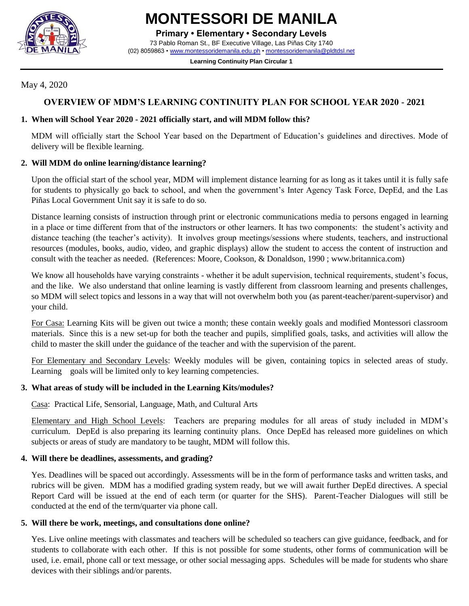

**MONTESSORI DE MANILA**

**Primary • Elementary • Secondary Levels**

73 Pablo Roman St., BF Executive Village, Las Piñas City 1740 (02) 8059863 • [www.montessoridemanila.edu.ph](http://www.montessoridemanila.edu.ph/) [• montessoridemanila@pldtdsl.net](mailto:montessoridemanila@pldtdsl.net)

> **Learning Continuity Plan Circular 1** ------------------------

## May 4, 2020

# **OVERVIEW OF MDM'S LEARNING CONTINUITY PLAN FOR SCHOOL YEAR 2020 - 2021**

### **1. When will School Year 2020 - 2021 officially start, and will MDM follow this?**

MDM will officially start the School Year based on the Department of Education's guidelines and directives. Mode of delivery will be flexible learning.

## **2. Will MDM do online learning/distance learning?**

Upon the official start of the school year, MDM will implement distance learning for as long as it takes until it is fully safe for students to physically go back to school, and when the government's Inter Agency Task Force, DepEd, and the Las Piñas Local Government Unit say it is safe to do so.

Distance learning consists of instruction through print or electronic communications media to persons engaged in learning in a place or time different from that of the instructors or other learners. It has two components: the student's activity and distance teaching (the teacher's activity). It involves group meetings/sessions where students, teachers, and instructional resources (modules, books, audio, video, and graphic displays) allow the student to access the content of instruction and consult with the teacher as needed. (References: Moore, Cookson, & Donaldson, 1990 ; www.britannica.com)

We know all households have varying constraints - whether it be adult supervision, technical requirements, student's focus, and the like. We also understand that online learning is vastly different from classroom learning and presents challenges, so MDM will select topics and lessons in a way that will not overwhelm both you (as parent-teacher/parent-supervisor) and your child.

For Casa: Learning Kits will be given out twice a month; these contain weekly goals and modified Montessori classroom materials. Since this is a new set-up for both the teacher and pupils, simplified goals, tasks, and activities will allow the child to master the skill under the guidance of the teacher and with the supervision of the parent.

For Elementary and Secondary Levels: Weekly modules will be given, containing topics in selected areas of study. Learning goals will be limited only to key learning competencies.

### **3. What areas of study will be included in the Learning Kits/modules?**

Casa: Practical Life, Sensorial, Language, Math, and Cultural Arts

Elementary and High School Levels: Teachers are preparing modules for all areas of study included in MDM's curriculum. DepEd is also preparing its learning continuity plans. Once DepEd has released more guidelines on which subjects or areas of study are mandatory to be taught, MDM will follow this.

# **4. Will there be deadlines, assessments, and grading?**

Yes. Deadlines will be spaced out accordingly. Assessments will be in the form of performance tasks and written tasks, and rubrics will be given. MDM has a modified grading system ready, but we will await further DepEd directives. A special Report Card will be issued at the end of each term (or quarter for the SHS). Parent-Teacher Dialogues will still be conducted at the end of the term/quarter via phone call.

# **5. Will there be work, meetings, and consultations done online?**

Yes. Live online meetings with classmates and teachers will be scheduled so teachers can give guidance, feedback, and for students to collaborate with each other. If this is not possible for some students, other forms of communication will be used, i.e. email, phone call or text message, or other social messaging apps. Schedules will be made for students who share devices with their siblings and/or parents.